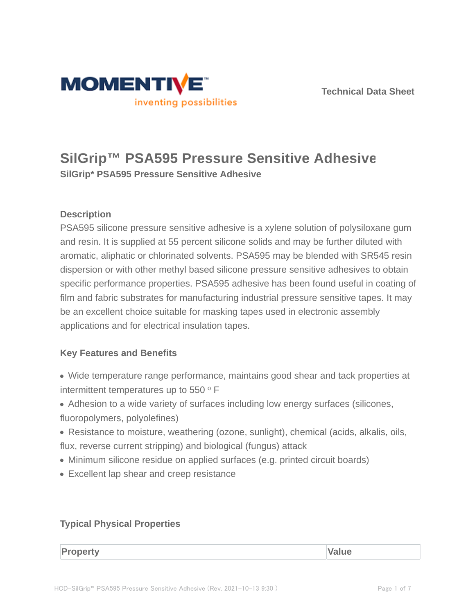



# **SilGrip™ PSA595 Pressure Sensitive Adhesive**

**SilGrip\* PSA595 Pressure Sensitive Adhesive**

# **Description**

PSA595 silicone pressure sensitive adhesive is a xylene solution of polysiloxane gum and resin. It is supplied at 55 percent silicone solids and may be further diluted with aromatic, aliphatic or chlorinated solvents. PSA595 may be blended with SR545 resin dispersion or with other methyl based silicone pressure sensitive adhesives to obtain specific performance properties. PSA595 adhesive has been found useful in coating of film and fabric substrates for manufacturing industrial pressure sensitive tapes. It may be an excellent choice suitable for masking tapes used in electronic assembly applications and for electrical insulation tapes.

# **Key Features and Benefits**

- Wide temperature range performance, maintains good shear and tack properties at intermittent temperatures up to 550 $^{\circ}$  F
- Adhesion to a wide variety of surfaces including low energy surfaces (silicones, fluoropolymers, polyolefines)
- Resistance to moisture, weathering (ozone, sunlight), chemical (acids, alkalis, oils, flux, reverse current stripping) and biological (fungus) attack
- Minimum silicone residue on applied surfaces (e.g. printed circuit boards)
- Excellent lap shear and creep resistance

# **Typical Physical Properties**

**Property Value**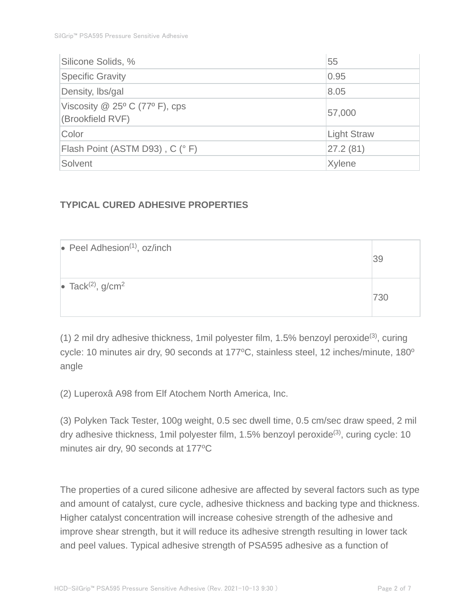| Silicone Solids, %               | 55                 |  |
|----------------------------------|--------------------|--|
| <b>Specific Gravity</b>          | 0.95               |  |
| Density, Ibs/gal                 | 8.05               |  |
| Viscosity $@$ 25° C (77° F), cps | 57,000             |  |
| (Brookfield RVF)                 |                    |  |
| Color                            | <b>Light Straw</b> |  |
| Flash Point (ASTM D93), C (° F)  | 27.2(81)           |  |
| Solvent                          | Xylene             |  |

# **TYPICAL CURED ADHESIVE PROPERTIES**

| $\bullet$ Peel Adhesion <sup>(1)</sup> , oz/inch | 39  |
|--------------------------------------------------|-----|
| • Tack <sup>(2)</sup> , $g/cm2$                  | 730 |

(1) 2 mil dry adhesive thickness, 1mil polyester film, 1.5% benzoyl peroxide(3), curing cycle: 10 minutes air dry, 90 seconds at 177°C, stainless steel, 12 inches/minute, 180° angle

(2) Luperoxâ A98 from Elf Atochem North America, Inc.

(3) Polyken Tack Tester, 100g weight, 0.5 sec dwell time, 0.5 cm/sec draw speed, 2 mil dry adhesive thickness, 1 mil polyester film, 1.5% benzoyl peroxide<sup>(3)</sup>, curing cycle: 10 minutes air dry, 90 seconds at 177°C

The properties of a cured silicone adhesive are affected by several factors such as type and amount of catalyst, cure cycle, adhesive thickness and backing type and thickness. Higher catalyst concentration will increase cohesive strength of the adhesive and improve shear strength, but it will reduce its adhesive strength resulting in lower tack and peel values. Typical adhesive strength of PSA595 adhesive as a function of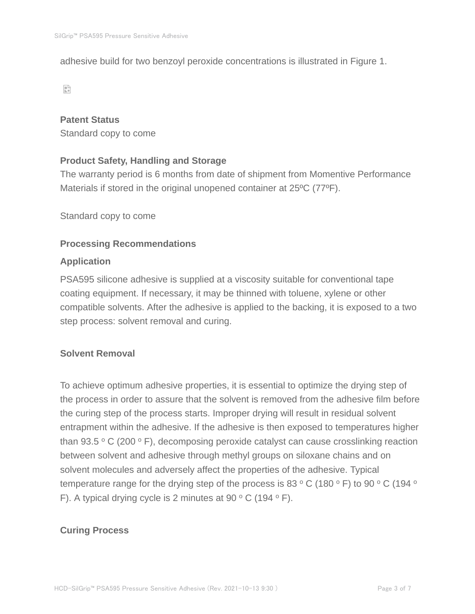adhesive build for two benzoyl peroxide concentrations is illustrated in Figure 1.

 $\mathbb{S}^n$ 

#### **Patent Status**

Standard copy to come

## **Product Safety, Handling and Storage**

The warranty period is 6 months from date of shipment from Momentive Performance Materials if stored in the original unopened container at 25ºC (77ºF).

Standard copy to come

#### **Processing Recommendations**

#### **Application**

PSA595 silicone adhesive is supplied at a viscosity suitable for conventional tape coating equipment. If necessary, it may be thinned with toluene, xylene or other compatible solvents. After the adhesive is applied to the backing, it is exposed to a two step process: solvent removal and curing.

# **Solvent Removal**

To achieve optimum adhesive properties, it is essential to optimize the drying step of the process in order to assure that the solvent is removed from the adhesive film before the curing step of the process starts. Improper drying will result in residual solvent entrapment within the adhesive. If the adhesive is then exposed to temperatures higher than 93.5  $\,^{\circ}$  C (200  $\,^{\circ}$  F), decomposing peroxide catalyst can cause crosslinking reaction between solvent and adhesive through methyl groups on siloxane chains and on solvent molecules and adversely affect the properties of the adhesive. Typical temperature range for the drying step of the process is 83  $\,^{\circ}$  C (180  $\,^{\circ}$  F) to 90  $\,^{\circ}$  C (194  $\,^{\circ}$ F). A typical drying cycle is 2 minutes at 90  $\,^{\circ}$  C (194  $\,^{\circ}$  F).

#### **Curing Process**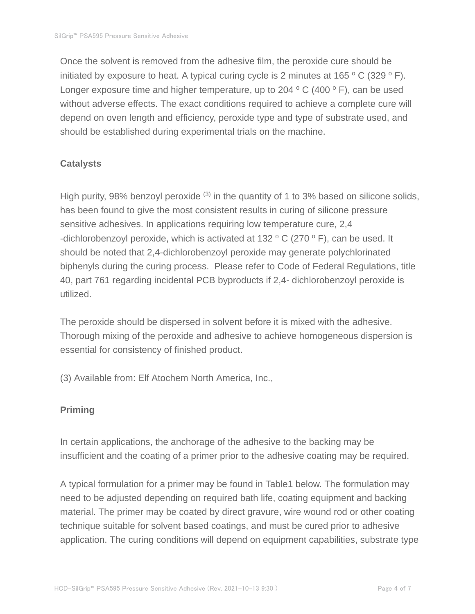Once the solvent is removed from the adhesive film, the peroxide cure should be initiated by exposure to heat. A typical curing cycle is 2 minutes at  $165 °C$  (329 ° F). Longer exposure time and higher temperature, up to 204  $\,^{\circ}$  C (400  $\,^{\circ}$  F), can be used without adverse effects. The exact conditions required to achieve a complete cure will depend on oven length and efficiency, peroxide type and type of substrate used, and should be established during experimental trials on the machine.

## **Catalysts**

High purity, 98% benzoyl peroxide  $(3)$  in the quantity of 1 to 3% based on silicone solids, has been found to give the most consistent results in curing of silicone pressure sensitive adhesives. In applications requiring low temperature cure, 2,4 -dichlorobenzoyl peroxide, which is activated at 132  $\,^{\circ}$  C (270  $\,^{\circ}$  F), can be used. It should be noted that 2,4-dichlorobenzoyl peroxide may generate polychlorinated biphenyls during the curing process. Please refer to Code of Federal Regulations, title 40, part 761 regarding incidental PCB byproducts if 2,4- dichlorobenzoyl peroxide is utilized.

The peroxide should be dispersed in solvent before it is mixed with the adhesive. Thorough mixing of the peroxide and adhesive to achieve homogeneous dispersion is essential for consistency of finished product.

(3) Available from: Elf Atochem North America, Inc.,

# **Priming**

In certain applications, the anchorage of the adhesive to the backing may be insufficient and the coating of a primer prior to the adhesive coating may be required.

A typical formulation for a primer may be found in Table1 below. The formulation may need to be adjusted depending on required bath life, coating equipment and backing material. The primer may be coated by direct gravure, wire wound rod or other coating technique suitable for solvent based coatings, and must be cured prior to adhesive application. The curing conditions will depend on equipment capabilities, substrate type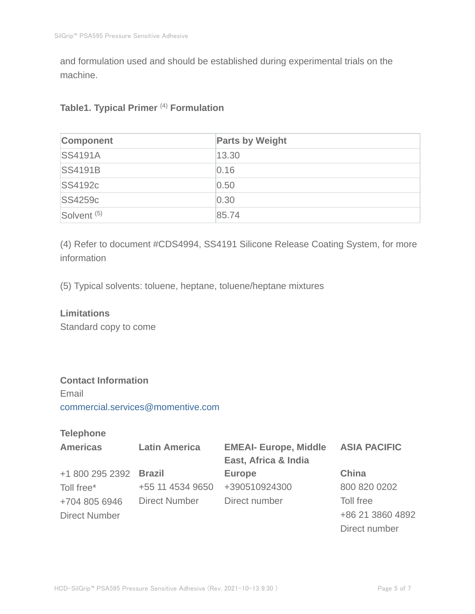and formulation used and should be established during experimental trials on the machine.

## **Table1. Typical Primer** (4) **Formulation**

| Component              | <b>Parts by Weight</b> |
|------------------------|------------------------|
| <b>SS4191A</b>         | 13.30                  |
| <b>SS4191B</b>         | 0.16                   |
| <b>SS4192c</b>         | 0.50                   |
| <b>SS4259c</b>         | 0.30                   |
| Solvent <sup>(5)</sup> | 85.74                  |

(4) Refer to document #CDS4994, SS4191 Silicone Release Coating System, for more information

(5) Typical solvents: toluene, heptane, toluene/heptane mixtures

#### **Limitations**

Standard copy to come

## **Contact Information**

Email commercial.services@momentive.com

# **Telephone**

| <b>Americas</b>        | <b>Latin America</b> | <b>EMEAI- Europe, Middle</b> | <b>ASIA PACIFIC</b> |
|------------------------|----------------------|------------------------------|---------------------|
|                        |                      | East, Africa & India         |                     |
| +1 800 295 2392 Brazil |                      | <b>Europe</b>                | <b>China</b>        |
| Toll free*             | +55 11 4534 9650     | +390510924300                | 800 820 0202        |
| +704 805 6946          | Direct Number        | Direct number                | Toll free           |
| <b>Direct Number</b>   |                      |                              | +86 21 3860 4892    |
|                        |                      |                              | Direct number       |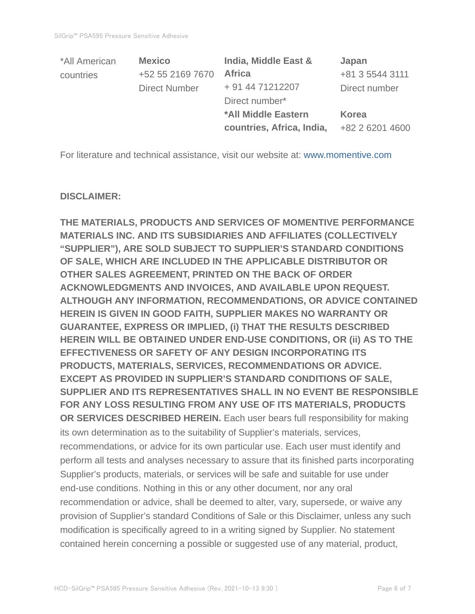| *All American | <b>Mexico</b>        | India, Middle East &      | Japan           |
|---------------|----------------------|---------------------------|-----------------|
| countries     | +52 55 2169 7670     | <b>Africa</b>             | +81 3 5544 3111 |
|               | <b>Direct Number</b> | + 91 44 71212207          | Direct number   |
|               |                      | Direct number*            |                 |
|               |                      | *All Middle Eastern       | <b>Korea</b>    |
|               |                      | countries, Africa, India, | +82 2 6201 4600 |

For literature and technical assistance, visit our website at: www.momentive.com

#### **DISCLAIMER:**

**THE MATERIALS, PRODUCTS AND SERVICES OF MOMENTIVE PERFORMANCE MATERIALS INC. AND ITS SUBSIDIARIES AND AFFILIATES (COLLECTIVELY "SUPPLIER"), ARE SOLD SUBJECT TO SUPPLIER'S STANDARD CONDITIONS OF SALE, WHICH ARE INCLUDED IN THE APPLICABLE DISTRIBUTOR OR OTHER SALES AGREEMENT, PRINTED ON THE BACK OF ORDER ACKNOWLEDGMENTS AND INVOICES, AND AVAILABLE UPON REQUEST. ALTHOUGH ANY INFORMATION, RECOMMENDATIONS, OR ADVICE CONTAINED HEREIN IS GIVEN IN GOOD FAITH, SUPPLIER MAKES NO WARRANTY OR GUARANTEE, EXPRESS OR IMPLIED, (i) THAT THE RESULTS DESCRIBED HEREIN WILL BE OBTAINED UNDER END-USE CONDITIONS, OR (ii) AS TO THE EFFECTIVENESS OR SAFETY OF ANY DESIGN INCORPORATING ITS PRODUCTS, MATERIALS, SERVICES, RECOMMENDATIONS OR ADVICE. EXCEPT AS PROVIDED IN SUPPLIER'S STANDARD CONDITIONS OF SALE, SUPPLIER AND ITS REPRESENTATIVES SHALL IN NO EVENT BE RESPONSIBLE FOR ANY LOSS RESULTING FROM ANY USE OF ITS MATERIALS, PRODUCTS OR SERVICES DESCRIBED HEREIN.** Each user bears full responsibility for making its own determination as to the suitability of Supplier's materials, services, recommendations, or advice for its own particular use. Each user must identify and perform all tests and analyses necessary to assure that its finished parts incorporating Supplier's products, materials, or services will be safe and suitable for use under end-use conditions. Nothing in this or any other document, nor any oral recommendation or advice, shall be deemed to alter, vary, supersede, or waive any provision of Supplier's standard Conditions of Sale or this Disclaimer, unless any such modification is specifically agreed to in a writing signed by Supplier. No statement contained herein concerning a possible or suggested use of any material, product,